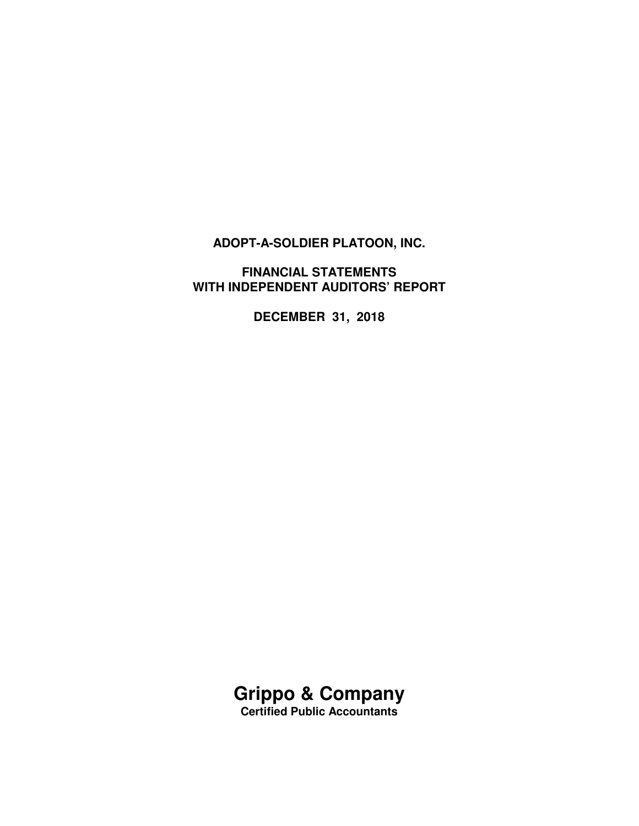## **ADOPT-A-SOLDIER PLATOON, INC.**

## **FINANCIAL STATEMENTS WITH INDEPENDENT AUDITORS' REPORT**

**DECEMBER 31, 2018** 

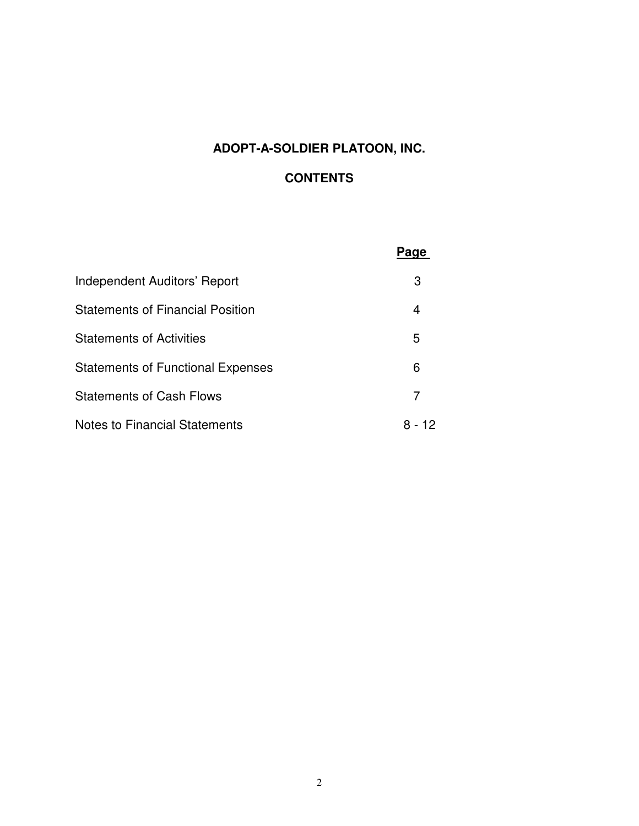# **ADOPT-A-SOLDIER PLATOON, INC.**

## **CONTENTS**

|                                          | Page   |
|------------------------------------------|--------|
| Independent Auditors' Report             | 3      |
| <b>Statements of Financial Position</b>  | 4      |
| <b>Statements of Activities</b>          | 5      |
| <b>Statements of Functional Expenses</b> | 6      |
| <b>Statements of Cash Flows</b>          | 7      |
| <b>Notes to Financial Statements</b>     | 8 - 12 |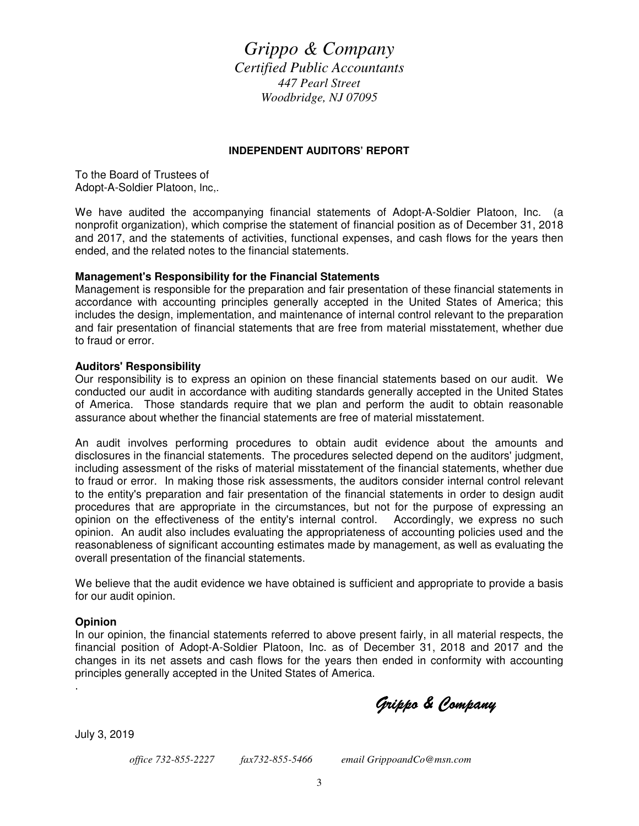*Grippo & Company Certified Public Accountants 447 Pearl Street Woodbridge, NJ 07095* 

#### **INDEPENDENT AUDITORS' REPORT**

To the Board of Trustees of Adopt-A-Soldier Platoon, Inc,.

We have audited the accompanying financial statements of Adopt-A-Soldier Platoon, Inc. (a nonprofit organization), which comprise the statement of financial position as of December 31, 2018 and 2017, and the statements of activities, functional expenses, and cash flows for the years then ended, and the related notes to the financial statements.

#### **Management's Responsibility for the Financial Statements**

Management is responsible for the preparation and fair presentation of these financial statements in accordance with accounting principles generally accepted in the United States of America; this includes the design, implementation, and maintenance of internal control relevant to the preparation and fair presentation of financial statements that are free from material misstatement, whether due to fraud or error.

#### **Auditors' Responsibility**

Our responsibility is to express an opinion on these financial statements based on our audit. We conducted our audit in accordance with auditing standards generally accepted in the United States of America. Those standards require that we plan and perform the audit to obtain reasonable assurance about whether the financial statements are free of material misstatement.

An audit involves performing procedures to obtain audit evidence about the amounts and disclosures in the financial statements. The procedures selected depend on the auditors' judgment, including assessment of the risks of material misstatement of the financial statements, whether due to fraud or error. In making those risk assessments, the auditors consider internal control relevant to the entity's preparation and fair presentation of the financial statements in order to design audit procedures that are appropriate in the circumstances, but not for the purpose of expressing an opinion on the effectiveness of the entity's internal control. Accordingly, we express no such opinion. An audit also includes evaluating the appropriateness of accounting policies used and the reasonableness of significant accounting estimates made by management, as well as evaluating the overall presentation of the financial statements.

We believe that the audit evidence we have obtained is sufficient and appropriate to provide a basis for our audit opinion.

#### **Opinion**

.

In our opinion, the financial statements referred to above present fairly, in all material respects, the financial position of Adopt-A-Soldier Platoon, Inc. as of December 31, 2018 and 2017 and the changes in its net assets and cash flows for the years then ended in conformity with accounting principles generally accepted in the United States of America.

Grippo & Company Grippo Company

July 3, 2019

*office 732-855-2227 fax732-855-5466 email GrippoandCo@msn.com*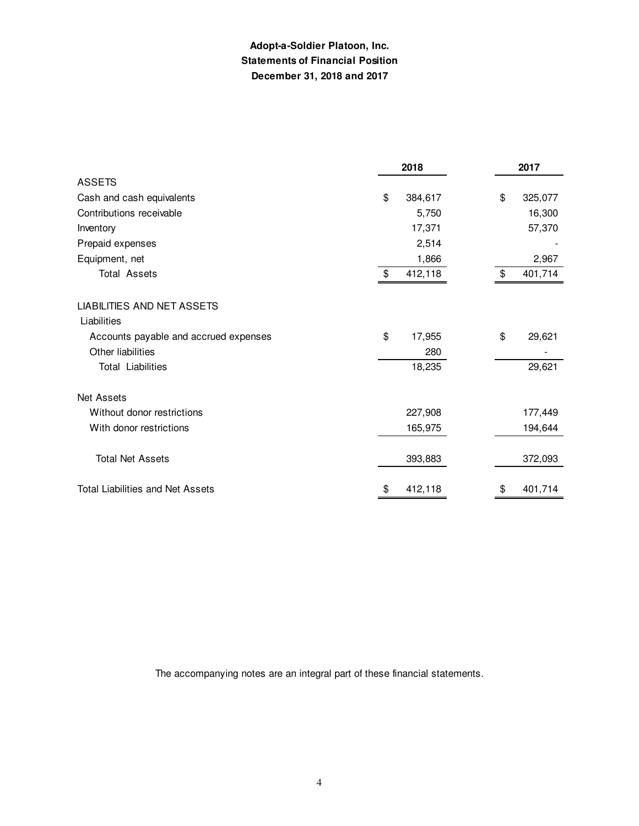## **Statements of Financial Position Adopt-a-Soldier Platoon, Inc. December 31, 2018 and 2017**

|                                         | 2018 |         |  | 2017 |         |  |
|-----------------------------------------|------|---------|--|------|---------|--|
| <b>ASSETS</b>                           |      |         |  |      |         |  |
| Cash and cash equivalents               | \$   | 384,617 |  | \$   | 325,077 |  |
| Contributions receivable                |      | 5,750   |  |      | 16,300  |  |
| Inventory                               |      | 17,371  |  |      | 57,370  |  |
| Prepaid expenses                        |      | 2,514   |  |      |         |  |
| Equipment, net                          |      | 1,866   |  |      | 2,967   |  |
| <b>Total Assets</b>                     | \$   | 412,118 |  | \$   | 401,714 |  |
| <b>LIABILITIES AND NET ASSETS</b>       |      |         |  |      |         |  |
| Liabilities                             |      |         |  |      |         |  |
| Accounts payable and accrued expenses   | \$   | 17,955  |  | \$   | 29,621  |  |
| Other liabilities                       |      | 280     |  |      |         |  |
| <b>Total Liabilities</b>                |      | 18,235  |  |      | 29,621  |  |
| <b>Net Assets</b>                       |      |         |  |      |         |  |
| Without donor restrictions              |      | 227,908 |  |      | 177,449 |  |
| With donor restrictions                 |      | 165,975 |  |      | 194,644 |  |
| <b>Total Net Assets</b>                 |      | 393,883 |  |      | 372,093 |  |
| <b>Total Liabilities and Net Assets</b> | \$   | 412,118 |  | \$   | 401,714 |  |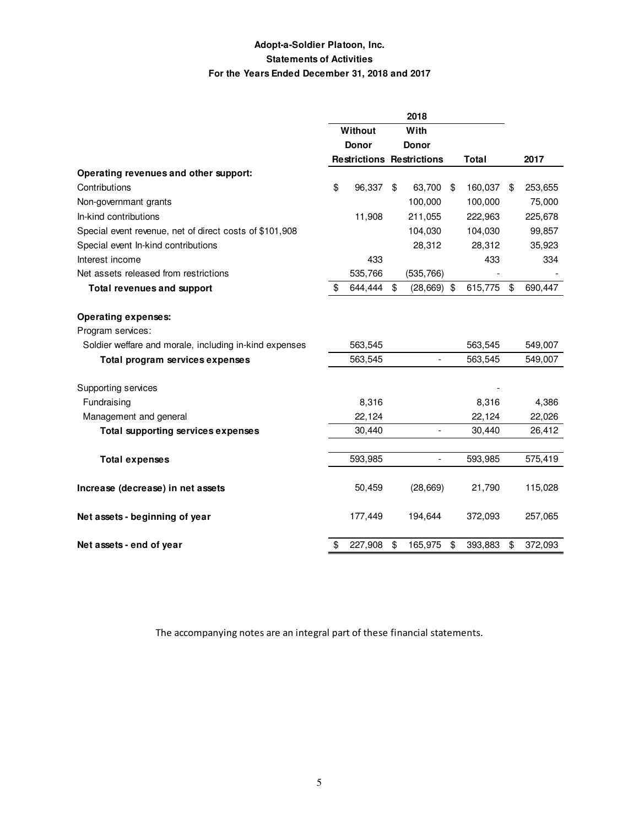### **Adopt-a-Soldier Platoon, Inc. Statements of Activities For the Years Ended December 31, 2018 and 2017**

|                                                         | 2018         |                                  |              |                          |    |              |               |
|---------------------------------------------------------|--------------|----------------------------------|--------------|--------------------------|----|--------------|---------------|
|                                                         | Without      |                                  |              | With                     |    |              |               |
|                                                         | <b>Donor</b> |                                  | <b>Donor</b> |                          |    |              |               |
|                                                         |              | <b>Restrictions Restrictions</b> |              |                          |    | <b>Total</b> | 2017          |
| Operating revenues and other support:                   |              |                                  |              |                          |    |              |               |
| Contributions                                           | \$           | 96,337                           | \$           | 63,700                   | \$ | 160,037      | \$<br>253,655 |
| Non-governmant grants                                   |              |                                  |              | 100,000                  |    | 100,000      | 75,000        |
| In-kind contributions                                   |              | 11,908                           |              | 211,055                  |    | 222,963      | 225,678       |
| Special event revenue, net of direct costs of \$101,908 |              |                                  |              | 104,030                  |    | 104,030      | 99,857        |
| Special event In-kind contributions                     |              |                                  |              | 28,312                   |    | 28,312       | 35,923        |
| Interest income                                         |              | 433                              |              |                          |    | 433          | 334           |
| Net assets released from restrictions                   |              | 535,766                          |              | (535, 766)               |    |              |               |
| <b>Total revenues and support</b>                       | \$           | 644,444                          | \$           | $(28, 669)$ \$           |    | 615,775      | \$<br>690,447 |
| <b>Operating expenses:</b><br>Program services:         |              |                                  |              |                          |    |              |               |
| Soldier weffare and morale, including in-kind expenses  |              | 563,545                          |              |                          |    | 563,545      | 549,007       |
| Total program services expenses                         |              | 563,545                          |              | $\overline{\phantom{0}}$ |    | 563,545      | 549,007       |
| Supporting services                                     |              |                                  |              |                          |    |              |               |
| Fundraising                                             |              | 8,316                            |              |                          |    | 8,316        | 4,386         |
| Management and general                                  |              | 22,124                           |              |                          |    | 22,124       | 22,026        |
| <b>Total supporting services expenses</b>               |              | 30,440                           |              | $\overline{\phantom{0}}$ |    | 30,440       | 26,412        |
| <b>Total expenses</b>                                   |              | 593,985                          |              | $\overline{\phantom{0}}$ |    | 593,985      | 575,419       |
| Increase (decrease) in net assets                       |              | 50,459                           |              | (28, 669)                |    | 21,790       | 115,028       |
| Net assets - beginning of year                          |              | 177,449                          |              | 194,644                  |    | 372,093      | 257,065       |
| Net assets - end of year                                | \$           | 227,908                          | \$           | 165,975                  | \$ | 393,883      | \$<br>372,093 |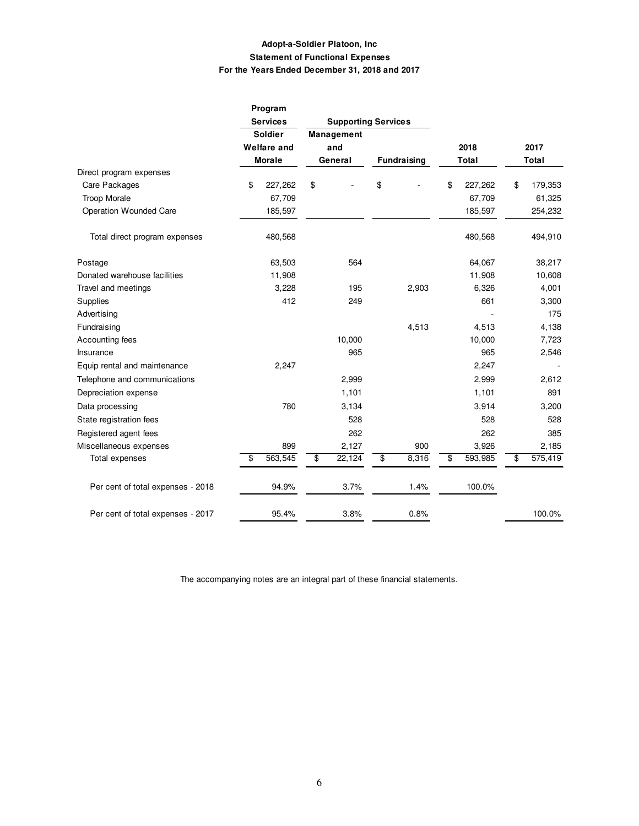#### **Adopt-a-Soldier Platoon, Inc Statement of Functional Expenses For the Years Ended December 31, 2018 and 2017**

|                                   | Program            |                 |                            |                    |               |    |         |
|-----------------------------------|--------------------|-----------------|----------------------------|--------------------|---------------|----|---------|
|                                   | <b>Services</b>    |                 | <b>Supporting Services</b> |                    |               |    |         |
|                                   | <b>Soldier</b>     |                 | Management                 |                    |               |    |         |
|                                   | <b>Welfare and</b> |                 | and                        |                    | 2018          |    | 2017    |
|                                   | <b>Morale</b>      |                 | General                    | <b>Fundraising</b> | Total         |    | Total   |
| Direct program expenses           |                    |                 |                            |                    |               |    |         |
| Care Packages                     | \$<br>227,262      | \$              |                            | \$                 | \$<br>227,262 | \$ | 179,353 |
| <b>Troop Morale</b>               | 67,709             |                 |                            |                    | 67,709        |    | 61,325  |
| Operation Wounded Care            | 185,597            |                 |                            |                    | 185,597       |    | 254,232 |
| Total direct program expenses     | 480,568            |                 |                            |                    | 480,568       |    | 494,910 |
| Postage                           | 63,503             |                 | 564                        |                    | 64,067        |    | 38,217  |
| Donated warehouse facilities      | 11,908             |                 |                            |                    | 11,908        |    | 10,608  |
| Travel and meetings               | 3,228              |                 | 195                        | 2,903              | 6,326         |    | 4,001   |
| Supplies                          | 412                |                 | 249                        |                    | 661           |    | 3,300   |
| Advertising                       |                    |                 |                            |                    |               |    | 175     |
| Fundraising                       |                    |                 |                            | 4,513              | 4,513         |    | 4,138   |
| Accounting fees                   |                    |                 | 10,000                     |                    | 10,000        |    | 7,723   |
| Insurance                         |                    |                 | 965                        |                    | 965           |    | 2,546   |
| Equip rental and maintenance      | 2,247              |                 |                            |                    | 2,247         |    |         |
| Telephone and communications      |                    |                 | 2,999                      |                    | 2,999         |    | 2,612   |
| Depreciation expense              |                    |                 | 1,101                      |                    | 1,101         |    | 891     |
| Data processing                   | 780                |                 | 3,134                      |                    | 3,914         |    | 3,200   |
| State registration fees           |                    |                 | 528                        |                    | 528           |    | 528     |
| Registered agent fees             |                    |                 | 262                        |                    | 262           |    | 385     |
| Miscellaneous expenses            | 899                |                 | 2,127                      | 900                | 3,926         |    | 2,185   |
| Total expenses                    | \$<br>563,545      | $\overline{\$}$ | 22,124                     | \$<br>8,316        | \$<br>593,985 | \$ | 575,419 |
| Per cent of total expenses - 2018 | 94.9%              |                 | 3.7%                       | 1.4%               | 100.0%        |    |         |
| Per cent of total expenses - 2017 | 95.4%              |                 | 3.8%                       | 0.8%               |               |    | 100.0%  |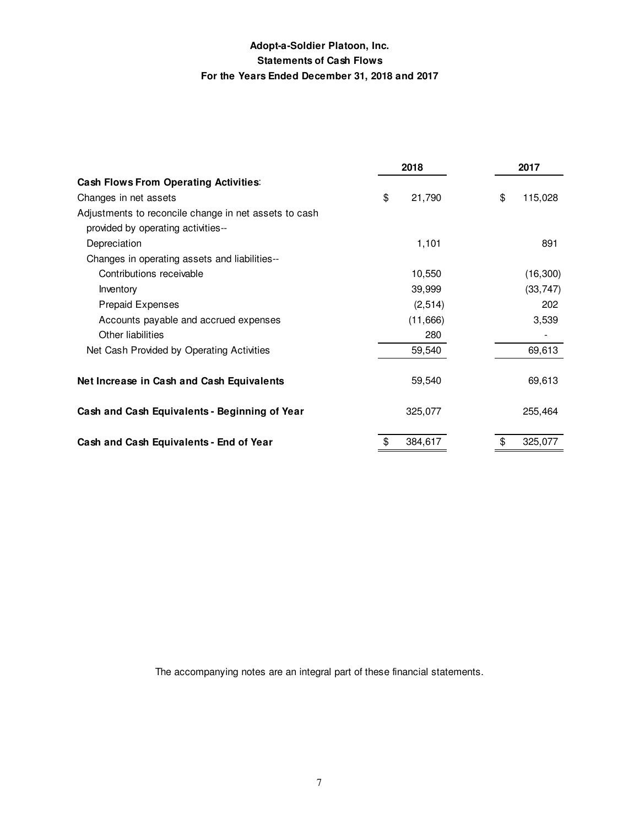## **Statements of Cash Flows Adopt-a-Soldier Platoon, Inc. For the Years Ended December 31, 2018 and 2017**

|                                                       | 2018 |          |  | 2017 |           |  |
|-------------------------------------------------------|------|----------|--|------|-----------|--|
| <b>Cash Flows From Operating Activities:</b>          |      |          |  |      |           |  |
| Changes in net assets                                 | \$   | 21,790   |  | \$   | 115,028   |  |
| Adjustments to reconcile change in net assets to cash |      |          |  |      |           |  |
| provided by operating activities--                    |      |          |  |      |           |  |
| Depreciation                                          |      | 1,101    |  |      | 891       |  |
| Changes in operating assets and liabilities--         |      |          |  |      |           |  |
| Contributions receivable                              |      | 10,550   |  |      | (16, 300) |  |
| Inventory                                             |      | 39,999   |  |      | (33, 747) |  |
| <b>Prepaid Expenses</b>                               |      | (2,514)  |  |      | 202       |  |
| Accounts payable and accrued expenses                 |      | (11,666) |  |      | 3,539     |  |
| Other liabilities                                     |      | 280      |  |      |           |  |
| Net Cash Provided by Operating Activities             |      | 59,540   |  |      | 69,613    |  |
| Net Increase in Cash and Cash Equivalents             |      | 59,540   |  |      | 69,613    |  |
| Cash and Cash Equivalents - Beginning of Year         |      | 325,077  |  |      | 255,464   |  |
| Cash and Cash Equivalents - End of Year               | \$   | 384,617  |  | \$   | 325,077   |  |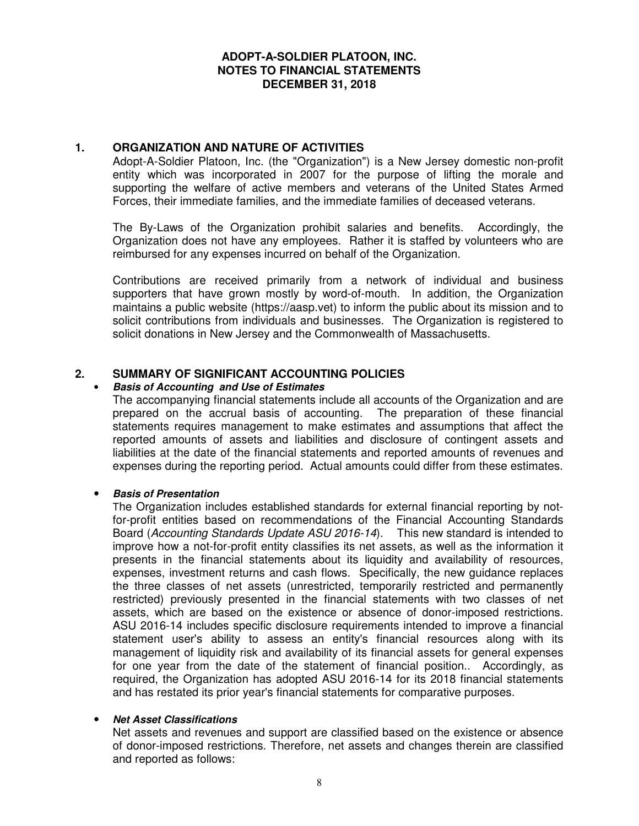## **ADOPT-A-SOLDIER PLATOON, INC. NOTES TO FINANCIAL STATEMENTS DECEMBER 31, 2018**

#### **1. ORGANIZATION AND NATURE OF ACTIVITIES**

Adopt-A-Soldier Platoon, Inc. (the "Organization") is a New Jersey domestic non-profit entity which was incorporated in 2007 for the purpose of lifting the morale and supporting the welfare of active members and veterans of the United States Armed Forces, their immediate families, and the immediate families of deceased veterans.

The By-Laws of the Organization prohibit salaries and benefits. Accordingly, the Organization does not have any employees. Rather it is staffed by volunteers who are reimbursed for any expenses incurred on behalf of the Organization.

Contributions are received primarily from a network of individual and business supporters that have grown mostly by word-of-mouth. In addition, the Organization maintains a public website (https://aasp.vet) to inform the public about its mission and to solicit contributions from individuals and businesses. The Organization is registered to solicit donations in New Jersey and the Commonwealth of Massachusetts.

## **2. SUMMARY OF SIGNIFICANT ACCOUNTING POLICIES**

### • **Basis of Accounting and Use of Estimates**

The accompanying financial statements include all accounts of the Organization and are prepared on the accrual basis of accounting. The preparation of these financial statements requires management to make estimates and assumptions that affect the reported amounts of assets and liabilities and disclosure of contingent assets and liabilities at the date of the financial statements and reported amounts of revenues and expenses during the reporting period. Actual amounts could differ from these estimates.

## • **Basis of Presentation**

The Organization includes established standards for external financial reporting by not for-profit entities based on recommendations of the Financial Accounting Standards Board (Accounting Standards Update ASU 2016-14). This new standard is intended to improve how a not-for-profit entity classifies its net assets, as well as the information it presents in the financial statements about its liquidity and availability of resources, expenses, investment returns and cash flows. Specifically, the new guidance replaces the three classes of net assets (unrestricted, temporarily restricted and permanently restricted) previously presented in the financial statements with two classes of net assets, which are based on the existence or absence of donor-imposed restrictions. ASU 2016-14 includes specific disclosure requirements intended to improve a financial statement user's ability to assess an entity's financial resources along with its management of liquidity risk and availability of its financial assets for general expenses for one year from the date of the statement of financial position.. Accordingly, as required, the Organization has adopted ASU 2016-14 for its 2018 financial statements and has restated its prior year's financial statements for comparative purposes.

#### • **Net Asset Classifications**

Net assets and revenues and support are classified based on the existence or absence of donor-imposed restrictions. Therefore, net assets and changes therein are classified and reported as follows: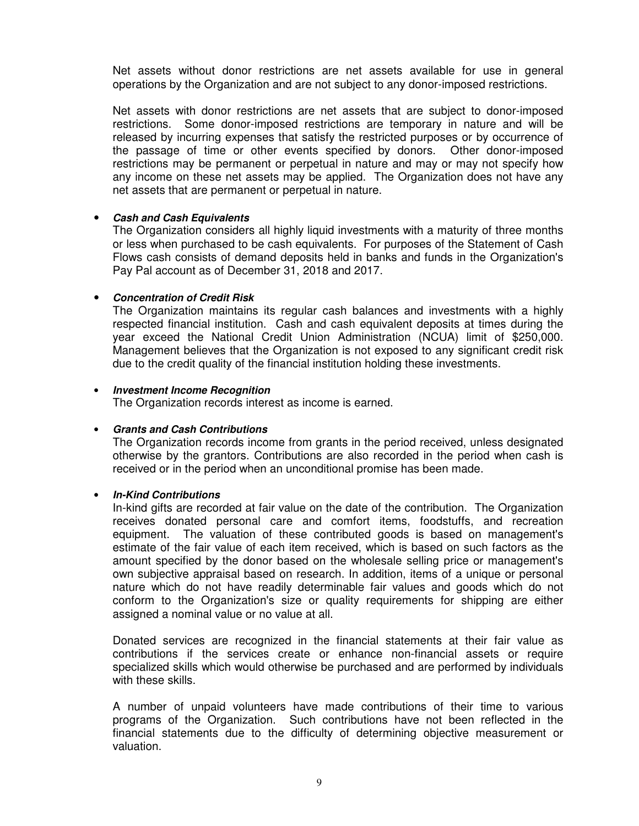Net assets without donor restrictions are net assets available for use in general operations by the Organization and are not subject to any donor-imposed restrictions.

Net assets with donor restrictions are net assets that are subject to donor-imposed restrictions. Some donor-imposed restrictions are temporary in nature and will be released by incurring expenses that satisfy the restricted purposes or by occurrence of the passage of time or other events specified by donors. Other donor-imposed restrictions may be permanent or perpetual in nature and may or may not specify how any income on these net assets may be applied. The Organization does not have any net assets that are permanent or perpetual in nature.

#### • **Cash and Cash Equivalents**

The Organization considers all highly liquid investments with a maturity of three months or less when purchased to be cash equivalents. For purposes of the Statement of Cash Flows cash consists of demand deposits held in banks and funds in the Organization's Pay Pal account as of December 31, 2018 and 2017.

### • **Concentration of Credit Risk**

The Organization maintains its regular cash balances and investments with a highly respected financial institution. Cash and cash equivalent deposits at times during the year exceed the National Credit Union Administration (NCUA) limit of \$250,000. Management believes that the Organization is not exposed to any significant credit risk due to the credit quality of the financial institution holding these investments.

#### • **Investment Income Recognition**

The Organization records interest as income is earned.

#### • **Grants and Cash Contributions**

The Organization records income from grants in the period received, unless designated otherwise by the grantors. Contributions are also recorded in the period when cash is received or in the period when an unconditional promise has been made.

#### • **In-Kind Contributions**

In-kind gifts are recorded at fair value on the date of the contribution. The Organization receives donated personal care and comfort items, foodstuffs, and recreation equipment. The valuation of these contributed goods is based on management's estimate of the fair value of each item received, which is based on such factors as the amount specified by the donor based on the wholesale selling price or management's own subjective appraisal based on research. In addition, items of a unique or personal nature which do not have readily determinable fair values and goods which do not conform to the Organization's size or quality requirements for shipping are either assigned a nominal value or no value at all.

 Donated services are recognized in the financial statements at their fair value as contributions if the services create or enhance non-financial assets or require specialized skills which would otherwise be purchased and are performed by individuals with these skills.

A number of unpaid volunteers have made contributions of their time to various programs of the Organization. Such contributions have not been reflected in the financial statements due to the difficulty of determining objective measurement or valuation.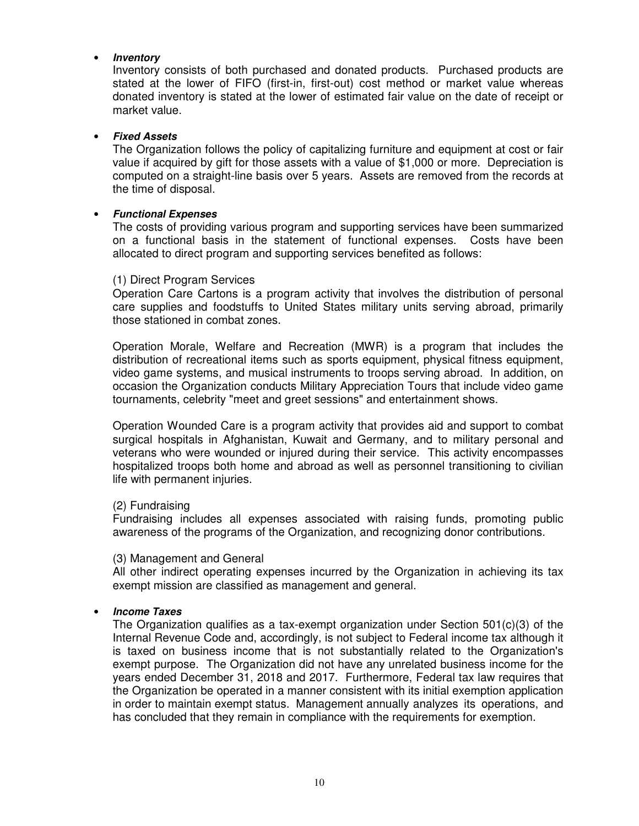#### • **Inventory**

Inventory consists of both purchased and donated products. Purchased products are stated at the lower of FIFO (first-in, first-out) cost method or market value whereas donated inventory is stated at the lower of estimated fair value on the date of receipt or market value.

#### • **Fixed Assets**

The Organization follows the policy of capitalizing furniture and equipment at cost or fair value if acquired by gift for those assets with a value of \$1,000 or more. Depreciation is computed on a straight-line basis over 5 years. Assets are removed from the records at the time of disposal.

### • **Functional Expenses**

The costs of providing various program and supporting services have been summarized on a functional basis in the statement of functional expenses. Costs have been allocated to direct program and supporting services benefited as follows:

### (1) Direct Program Services

Operation Care Cartons is a program activity that involves the distribution of personal care supplies and foodstuffs to United States military units serving abroad, primarily those stationed in combat zones.

Operation Morale, Welfare and Recreation (MWR) is a program that includes the distribution of recreational items such as sports equipment, physical fitness equipment, video game systems, and musical instruments to troops serving abroad. In addition, on occasion the Organization conducts Military Appreciation Tours that include video game tournaments, celebrity "meet and greet sessions" and entertainment shows.

Operation Wounded Care is a program activity that provides aid and support to combat surgical hospitals in Afghanistan, Kuwait and Germany, and to military personal and veterans who were wounded or injured during their service. This activity encompasses hospitalized troops both home and abroad as well as personnel transitioning to civilian life with permanent injuries.

#### (2) Fundraising

Fundraising includes all expenses associated with raising funds, promoting public awareness of the programs of the Organization, and recognizing donor contributions.

#### (3) Management and General

All other indirect operating expenses incurred by the Organization in achieving its tax exempt mission are classified as management and general.

#### • **Income Taxes**

The Organization qualifies as a tax-exempt organization under Section  $501(c)(3)$  of the Internal Revenue Code and, accordingly, is not subject to Federal income tax although it is taxed on business income that is not substantially related to the Organization's exempt purpose. The Organization did not have any unrelated business income for the years ended December 31, 2018 and 2017. Furthermore, Federal tax law requires that the Organization be operated in a manner consistent with its initial exemption application in order to maintain exempt status. Management annually analyzes its operations, and has concluded that they remain in compliance with the requirements for exemption.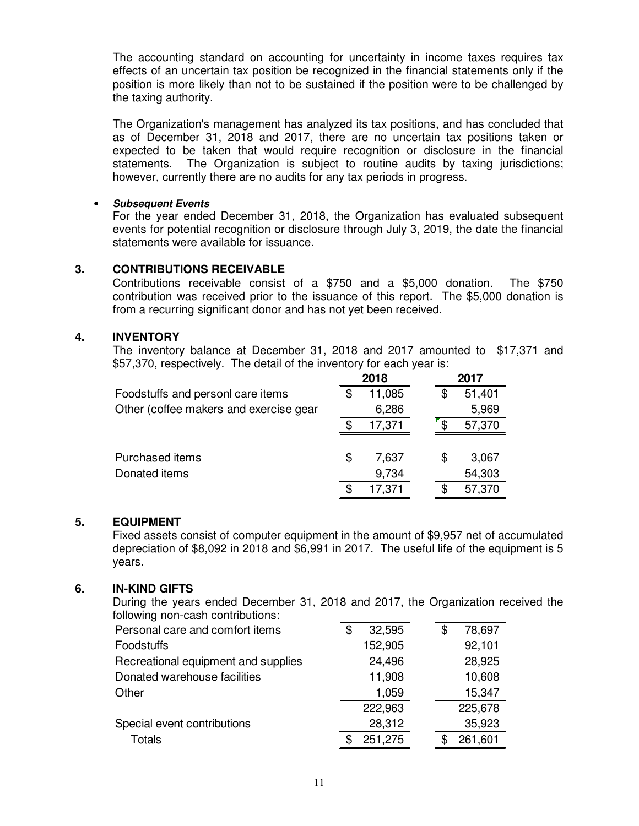The accounting standard on accounting for uncertainty in income taxes requires tax effects of an uncertain tax position be recognized in the financial statements only if the position is more likely than not to be sustained if the position were to be challenged by the taxing authority.

 The Organization's management has analyzed its tax positions, and has concluded that as of December 31, 2018 and 2017, there are no uncertain tax positions taken or expected to be taken that would require recognition or disclosure in the financial statements. The Organization is subject to routine audits by taxing jurisdictions; however, currently there are no audits for any tax periods in progress.

### • **Subsequent Events**

For the year ended December 31, 2018, the Organization has evaluated subsequent events for potential recognition or disclosure through July 3, 2019, the date the financial statements were available for issuance.

### **3. CONTRIBUTIONS RECEIVABLE**

Contributions receivable consist of a \$750 and a \$5,000 donation. The \$750 contribution was received prior to the issuance of this report. The \$5,000 donation is from a recurring significant donor and has not yet been received.

### **4. INVENTORY**

The inventory balance at December 31, 2018 and 2017 amounted to \$17,371 and \$57,370, respectively. The detail of the inventory for each year is:

|                                        |    | 2018   |    | 2017   |
|----------------------------------------|----|--------|----|--------|
| Foodstuffs and personl care items      | S  | 11,085 |    | 51,401 |
| Other (coffee makers and exercise gear |    | 6,286  |    | 5,969  |
|                                        |    | 17,371 | c  | 57,370 |
|                                        |    |        |    |        |
| Purchased items                        | \$ | 7,637  | \$ | 3,067  |
| Donated items                          |    | 9,734  |    | 54,303 |
|                                        |    | 17,371 |    | 57,370 |

## **5. EQUIPMENT**

Fixed assets consist of computer equipment in the amount of \$9,957 net of accumulated depreciation of \$8,092 in 2018 and \$6,991 in 2017. The useful life of the equipment is 5 years.

## **6. IN-KIND GIFTS**

During the years ended December 31, 2018 and 2017, the Organization received the following non-cash contributions:

| Personal care and comfort items     | 32,595<br>\$ | 78,697<br>\$ |
|-------------------------------------|--------------|--------------|
| Foodstuffs                          | 152,905      | 92,101       |
| Recreational equipment and supplies | 24,496       | 28,925       |
| Donated warehouse facilities        | 11,908       | 10,608       |
| Other                               | 1,059        | 15,347       |
|                                     | 222,963      | 225,678      |
| Special event contributions         | 28,312       | 35,923       |
| <b>Totals</b>                       | 251,275      | 261,601      |